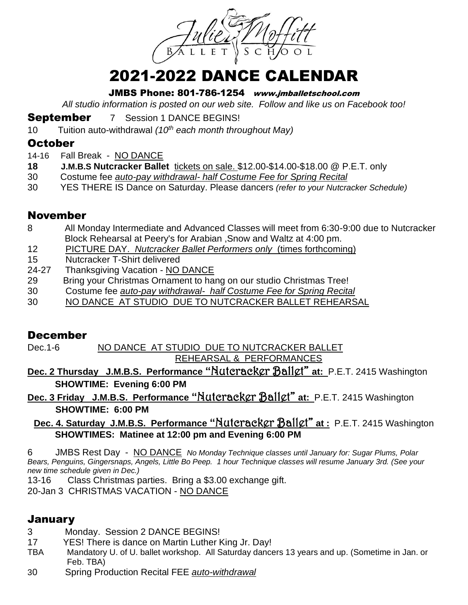

# 2021-2022 DANCE CALENDAR

JMBS Phone: 801-786-1254 www.jmballetschool.com

*All studio information is posted on our web site. Follow and like us on Facebook too!*

**September** 7 Session 1 DANCE BEGINS!

10 Tuition auto-withdrawal *(10th each month throughout May)*

#### **October**

- 14-16 Fall Break NO DANCE
- **18 J.M.B.S Nutcracker Ballet** tickets on sale. \$12.00-\$14.00-\$18.00 @ P.E.T. only
- 30 Costume fee *auto-pay withdrawal- half Costume Fee for Spring Recital*
- 30 YES THERE IS Dance on Saturday. Please dancers *(refer to your Nutcracker Schedule)*

#### November

- 8 All Monday Intermediate and Advanced Classes will meet from 6:30-9:00 due to Nutcracker Block Rehearsal at Peery's for Arabian ,Snow and Waltz at 4:00 pm.
- 12 PICTURE DAY. *Nutcracker Ballet Performers only* (times forthcoming)
- 15 Nutcracker T-Shirt delivered
- 24-27 Thanksgiving Vacation NO DANCE
- 29 Bring your Christmas Ornament to hang on our studio Christmas Tree!
- 30 Costume fee *auto-pay withdrawal- half Costume Fee for Spring Recital*
- 30 NO DANCE AT STUDIO DUE TO NUTCRACKER BALLET REHEARSAL

#### December

Dec.1-6 NO DANCE AT STUDIO DUE TO NUTCRACKER BALLET REHEARSAL & PERFORMANCES

**Dec. 2 Thursday J.M.B.S. Performance "**Nutcracker Ballet" **at:** P.E.T. 2415 Washington **SHOWTIME: Evening 6:00 PM**

**Dec. 3 Friday J.M.B.S. Performance "**Nutcracker Ballet" **at:** P.E.T. 2415 Washington **SHOWTIME: 6:00 PM** 

**Dec. 4. Saturday J.M.B.S. Performance "Nutcracker Ballet" at :** P.E.T. 2415 Washington **SHOWTIMES: Matinee at 12:00 pm and Evening 6:00 PM**

6 JMBS Rest Day - NO DANCE *No Monday Technique classes until January for: Sugar Plums, Polar Bears, Penguins, Gingersnaps, Angels, Little Bo Peep. 1 hour Technique classes will resume January 3rd. (See your new time schedule given in Dec.)*

13-16 Class Christmas parties. Bring a \$3.00 exchange gift.

20-Jan 3 CHRISTMAS VACATION - NO DANCE

#### January

- 3 Monday. Session 2 DANCE BEGINS!
- 17 YES! There is dance on Martin Luther King Jr. Day!
- TBA Mandatory U. of U. ballet workshop. All Saturday dancers 13 years and up. (Sometime in Jan. or Feb. TBA)
- 30 Spring Production Recital FEE *auto-withdrawal*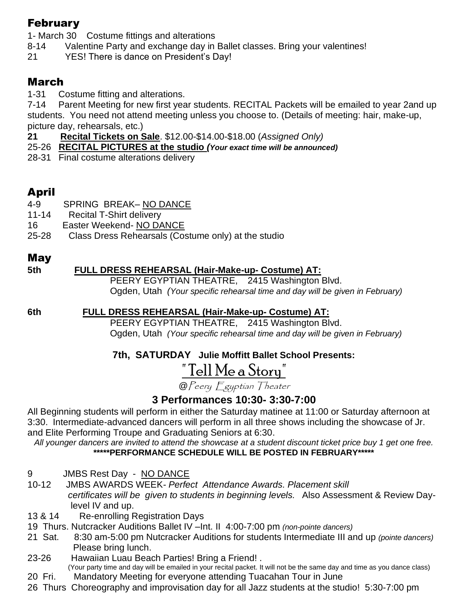## February

1- March 30 Costume fittings and alterations

- 8-14 Valentine Party and exchange day in Ballet classes. Bring your valentines!
- 21 YES! There is dance on President's Day!

# March

1-31 Costume fitting and alterations.

7-14 Parent Meeting for new first year students. RECITAL Packets will be emailed to year 2and up students. You need not attend meeting unless you choose to. (Details of meeting: hair, make-up, picture day, rehearsals, etc.)

- **21 Recital Tickets on Sale**. \$12.00-\$14.00-\$18.00 (*Assigned Only)*
- 25-26 **RECITAL PICTURES at the studio** *(Your exact time will be announced)*
- 28-31 Final costume alterations delivery

# April

- 4-9 SPRING BREAK– NO DANCE
- 11-14 Recital T-Shirt delivery
- 16 Easter Weekend- NO DANCE
- 25-28 Class Dress Rehearsals (Costume only) at the studio

## May

#### **5th FULL DRESS REHEARSAL (Hair-Make-up- Costume) AT:**

PEERY EGYPTIAN THEATRE, 2415 Washington Blvd. Ogden, Utah *(Your specific rehearsal time and day will be given in February)*

## **6th FULL DRESS REHEARSAL (Hair-Make-up- Costume) AT:**

 PEERY EGYPTIAN THEATRE, 2415 Washington Blvd. Ogden, Utah *(Your specific rehearsal time and day will be given in February)*

## **7th, SATURDAY Julie Moffitt Ballet School Presents:**

# <u>" Tell Me a Story"</u>

@Peery Egyptian Theater

## **3 Performances 10:30- 3:30-7:00**

All Beginning students will perform in either the Saturday matinee at 11:00 or Saturday afternoon at 3:30. Intermediate-advanced dancers will perform in all three shows including the showcase of Jr. and Elite Performing Troupe and Graduating Seniors at 6:30.

*All younger dancers are invited to attend the showcase at a student discount ticket price buy 1 get one free.*  **\*\*\*\*\*PERFORMANCE SCHEDULE WILL BE POSTED IN FEBRUARY\*\*\*\*\***

- 9 JMBS Rest Day NO DANCE
- 10-12 JMBS AWARDS WEEK*- Perfect Attendance Awards. Placement skill certificates will be given to students in beginning levels.* Also Assessment & Review Day level IV and up.
- 13 & 14 Re-enrolling Registration Days
- 19 Thurs. Nutcracker Auditions Ballet IV –Int. II 4:00-7:00 pm *(non-pointe dancers)*
- 21 Sat. 8:30 am-5:00 pm Nutcracker Auditions for students Intermediate III and up *(pointe dancers)* Please bring lunch.
- 23-26 Hawaiian Luau Beach Parties! Bring a Friend! .
- (Your party time and day will be emailed in your recital packet. It will not be the same day and time as you dance class) 20 Fri. Mandatory Meeting for everyone attending Tuacahan Tour in June
- 26 Thurs Choreography and improvisation day for all Jazz students at the studio! 5:30-7:00 pm